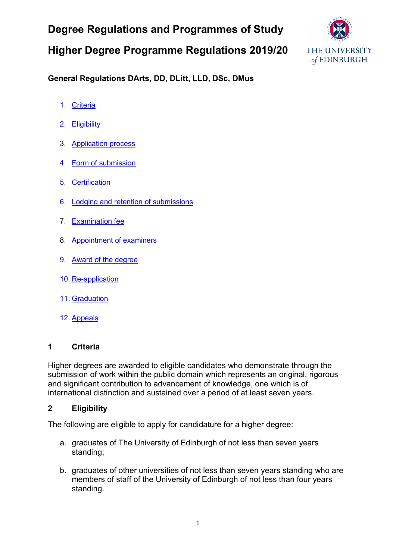# **Degree Regulations and Programmes of Study**

## **Higher Degree Programme Regulations 2019/20**



### **General Regulations DArts, DD, DLitt, LLD, DSc, DMus**

- 1. [Criteria](#page-0-0)
- 2. [Eligibility](#page-0-1)
- 3. [Application process](#page-0-2)
- 4. [Form of submission](#page-1-0)
- 5. [Certification](#page-1-1)
- 6. [Lodging and retention of submissions](#page-1-2)
- 7. [Examination fee](#page-2-0)
- 8. [Appointment of examiners](#page-2-1)
- 9. [Award of the degree](#page-2-2)
- 10. [Re-application](#page-2-3)
- 11. [Graduation](#page-2-4)
- 12. [Appeals](#page-2-5)

### <span id="page-0-0"></span>**1 Criteria**

Higher degrees are awarded to eligible candidates who demonstrate through the submission of work within the public domain which represents an original, rigorous and significant contribution to advancement of knowledge, one which is of international distinction and sustained over a period of at least seven years.

### <span id="page-0-1"></span>**2 Eligibility**

The following are eligible to apply for candidature for a higher degree:

- a. graduates of The University of Edinburgh of not less than seven years standing;
- <span id="page-0-2"></span>b. graduates of other universities of not less than seven years standing who are members of staff of the University of Edinburgh of not less than four years standing.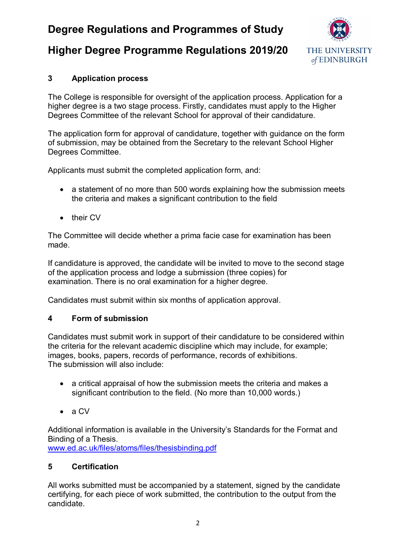## **Degree Regulations and Programmes of Study**

### **Higher Degree Programme Regulations 2019/20**



### **3 Application process**

The College is responsible for oversight of the application process. Application for a higher degree is a two stage process. Firstly, candidates must apply to the Higher Degrees Committee of the relevant School for approval of their candidature.

The application form for approval of candidature, together with guidance on the form of submission, may be obtained from the Secretary to the relevant School Higher Degrees Committee.

Applicants must submit the completed application form, and:

- a statement of no more than 500 words explaining how the submission meets the criteria and makes a significant contribution to the field
- their CV

The Committee will decide whether a prima facie case for examination has been made.

If candidature is approved, the candidate will be invited to move to the second stage of the application process and lodge a submission (three copies) for examination. There is no oral examination for a higher degree.

Candidates must submit within six months of application approval.

### <span id="page-1-0"></span>**4 Form of submission**

Candidates must submit work in support of their candidature to be considered within the criteria for the relevant academic discipline which may include, for example; images, books, papers, records of performance, records of exhibitions. The submission will also include:

- a critical appraisal of how the submission meets the criteria and makes a significant contribution to the field. (No more than 10,000 words.)
- a CV

Additional information is available in the University's Standards for the Format and Binding of a Thesis.

[www.ed.ac.uk/files/atoms/files/thesisbinding.pdf](http://www.ed.ac.uk/files/atoms/files/thesisbinding.pdf)

### <span id="page-1-1"></span>**5 Certification**

<span id="page-1-2"></span>All works submitted must be accompanied by a statement, signed by the candidate certifying, for each piece of work submitted, the contribution to the output from the candidate.